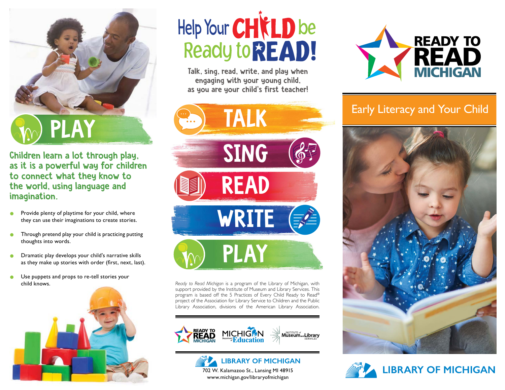

Children learn a lot through play, as it is a powerful way for children to connect what they know to the world, using language and imagination.

- Provide plenty of playtime for your child, where they can use their imaginations to create stories.
- **•** Through pretend play your child is practicing putting thoughts into words.
- **•** Dramatic play develops your child's narrative skills as they make up stories with order (first, next, last).
- Use puppets and props to re-tell stories your child knows.



## Help Your CHICLD be **Ready to READ!**

Talk, sing, read, write, and play when engaging with your young child, as you are your child's first teacher!



*Ready to Read Michigan* is a program of the Library of Michigan, with support provided by the Institute of Museum and Library Services. This program is based off the 5 Practices of Every Child Ready to Read® project of the Association for Library Service to Children and the Public Library Association, divisions of the American Library Association.





www.michigan.gov/libraryofmichigan



## Early Literacy and Your Child